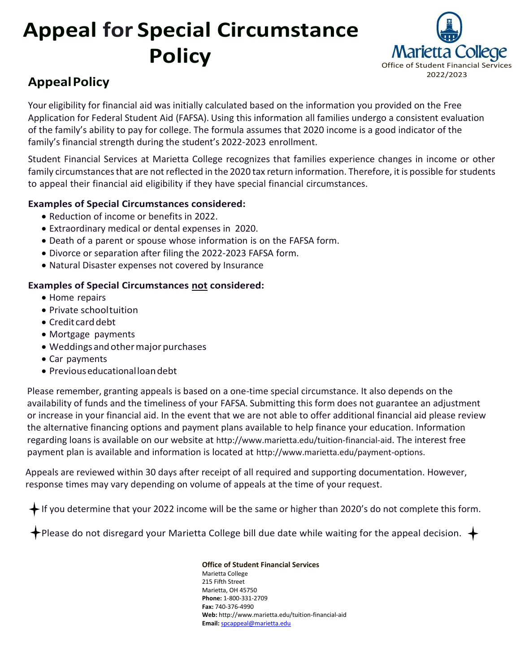# **Appeal for Special Circumstance Policy**



# **AppealPolicy**

Your eligibility for financial aid was initially calculated based on the information you provided on the Free Application for Federal Student Aid (FAFSA). Using this information all families undergo a consistent evaluation of the family's ability to pay for college. The formula assumes that 2020 income is a good indicator of the family's financial strength during the student's 2022-2023 enrollment.

Student Financial Services at Marietta College recognizes that families experience changes in income or other family circumstances that are not reflected in the 2020 tax return information. Therefore, it is possible for students to appeal their financial aid eligibility if they have special financial circumstances.

# **Examples of Special Circumstances considered:**

- Reduction of income or benefits in 2022.
- Extraordinary medical or dental expenses in 2020.
- Death of a parent or spouse whose information is on the FAFSA form.
- Divorce or separation after filing the 2022-2023 FAFSA form.
- Natural Disaster expenses not covered by Insurance

# **Examples of Special Circumstances not considered:**

- Home repairs
- Private schooltuition
- Credit card debt
- Mortgage payments
- Weddings and other major purchases
- Car payments
- Previouseducationalloandebt

Please remember, granting appeals is based on a one-time special circumstance. It also depends on the availability of funds and the timeliness of your FAFSA. Submitting this form does not guarantee an adjustment or increase in your financial aid. In the event that we are not able to offer additional financial aid please review the alternative financing options and payment plans available to help finance your education. Information regarding loans is available on our website at http://www.marietta.edu/tuition-financial-aid. The interest free payment plan is available and information is located at http://www.marietta.edu/payment-options.

Appeals are reviewed within 30 days after receipt of all required and supporting documentation. However, response times may vary depending on volume of appeals at the time of your request.

If you determine that your 2022 income will be the same or higher than 2020's do not complete this form.

 $\bigstar$  Please do not disregard your Marietta College bill due date while waiting for the appeal decision.  $\,\blackleftrightarrow\,$ 

#### **Office of Student Financial Services**

Marietta College 215 Fifth Street Marietta, OH 45750 **Phone:** 1-800-331-2709 **Fax:** 740-376-4990 **Web:** http://www.marietta.edu/tuition-financial-aid **Email:** [spcappeal@marietta.edu](mailto:spcappeal@marietta.edu)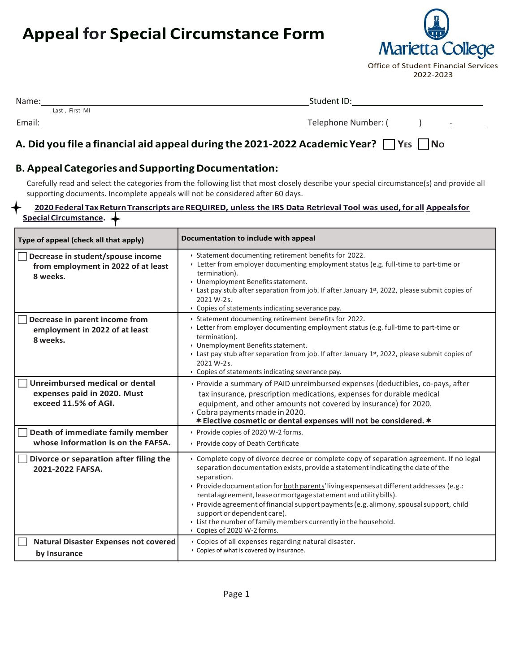# **Appeal for Special Circumstance Form**



Office of Student Financial Services 2022-2023

| Name:          | Student ID:                                     |
|----------------|-------------------------------------------------|
| Last, First MI |                                                 |
| Email:         | Telephone Number: (<br>$\overline{\phantom{0}}$ |
|                |                                                 |

# **A. Did you file a financial aid appeal during the 2021-2022 Academic Year? YES NO**

# **B. Appeal Categories andSupportingDocumentation:**

Carefully read and select the categories from the following list that most closely describe your special circumstance(s) and provide all supporting documents. Incomplete appeals will not be considered after 60 days.

#### **2020 Federal Tax ReturnTranscripts are REQUIRED, unless the IRS Data Retrieval Tool was used, for all Appealsfor SpecialCircumstance.**

| Type of appeal (check all that apply)                                                 | Documentation to include with appeal                                                                                                                                                                                                                                                                                                                                                                                                                                                                                                                                                  |
|---------------------------------------------------------------------------------------|---------------------------------------------------------------------------------------------------------------------------------------------------------------------------------------------------------------------------------------------------------------------------------------------------------------------------------------------------------------------------------------------------------------------------------------------------------------------------------------------------------------------------------------------------------------------------------------|
| Decrease in student/spouse income<br>from employment in 2022 of at least<br>8 weeks.  | · Statement documenting retirement benefits for 2022.<br>• Letter from employer documenting employment status (e.g. full-time to part-time or<br>termination).<br>• Unemployment Benefits statement.<br>• Last pay stub after separation from job. If after January $1st$ , 2022, please submit copies of<br>2021 W-2s.<br>• Copies of statements indicating severance pay.                                                                                                                                                                                                           |
| Decrease in parent income from<br>employment in 2022 of at least<br>8 weeks.          | · Statement documenting retirement benefits for 2022.<br>• Letter from employer documenting employment status (e.g. full-time to part-time or<br>termination).<br>• Unemployment Benefits statement.<br>• Last pay stub after separation from job. If after January $1st$ , 2022, please submit copies of<br>2021 W-2s.<br>• Copies of statements indicating severance pay.                                                                                                                                                                                                           |
| Unreimbursed medical or dental<br>expenses paid in 2020. Must<br>exceed 11.5% of AGI. | · Provide a summary of PAID unreimbursed expenses (deductibles, co-pays, after<br>tax insurance, prescription medications, expenses for durable medical<br>equipment, and other amounts not covered by insurance) for 2020.<br>· Cobra payments made in 2020.<br>* Elective cosmetic or dental expenses will not be considered. *                                                                                                                                                                                                                                                     |
| Death of immediate family member<br>whose information is on the FAFSA.                | • Provide copies of 2020 W-2 forms.<br>• Provide copy of Death Certificate                                                                                                                                                                                                                                                                                                                                                                                                                                                                                                            |
| Divorce or separation after filing the<br>2021-2022 FAFSA.                            | • Complete copy of divorce decree or complete copy of separation agreement. If no legal<br>separation documentation exists, provide a statement indicating the date of the<br>separation.<br>· Provide documentation for both parents' living expenses at different addresses (e.g.:<br>rental agreement, lease or mortgage statement and utility bills).<br>· Provide agreement of financial support payments (e.g. alimony, spousal support, child<br>support or dependent care).<br>. List the number of family members currently in the household.<br>• Copies of 2020 W-2 forms. |
| <b>Natural Disaster Expenses not covered</b><br>by Insurance                          | · Copies of all expenses regarding natural disaster.<br>• Copies of what is covered by insurance.                                                                                                                                                                                                                                                                                                                                                                                                                                                                                     |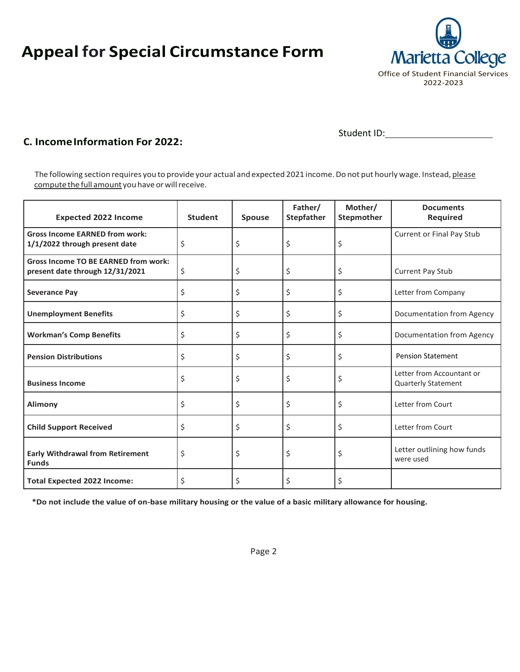# **Appeal for Special Circumstance Form**



Student ID:

# **C. IncomeInformation For 2022:**

The following section requires you to provide your actual and expected 2021 income. Do not put hourly wage. Instead, please compute the full amount you have or will receive.

| <b>Expected 2022 Income</b>                                                    | <b>Student</b> | <b>Spouse</b> | Father/<br>Stepfather | Mother/<br><b>Stepmother</b> | <b>Documents</b><br><b>Required</b>                     |
|--------------------------------------------------------------------------------|----------------|---------------|-----------------------|------------------------------|---------------------------------------------------------|
| <b>Gross Income EARNED from work:</b><br>1/1/2022 through present date         | \$             | \$            | \$                    | \$                           | <b>Current or Final Pay Stub</b>                        |
| <b>Gross Income TO BE EARNED from work:</b><br>present date through 12/31/2021 | \$             | \$            | \$                    | \$                           | <b>Current Pay Stub</b>                                 |
| <b>Severance Pay</b>                                                           | \$             | \$            | \$                    | \$                           | Letter from Company                                     |
| <b>Unemployment Benefits</b>                                                   | \$             | \$            | \$                    | \$                           | Documentation from Agency                               |
| <b>Workman's Comp Benefits</b>                                                 | \$             | \$            | \$                    | \$                           | Documentation from Agency                               |
| <b>Pension Distributions</b>                                                   | \$             | \$            | \$                    | \$                           | <b>Pension Statement</b>                                |
| <b>Business Income</b>                                                         | \$             | \$            | \$                    | \$                           | Letter from Accountant or<br><b>Quarterly Statement</b> |
| Alimony                                                                        | \$             | \$            | \$                    | \$                           | Letter from Court                                       |
| <b>Child Support Received</b>                                                  | \$             | \$            | \$                    | \$                           | Letter from Court                                       |
| <b>Early Withdrawal from Retirement</b><br><b>Funds</b>                        | \$             | \$            | \$                    | \$                           | Letter outlining how funds<br>were used                 |
| <b>Total Expected 2022 Income:</b>                                             | Ś              | Ś             | Ś                     | Ś                            |                                                         |

**\*Do not include the value of on-base military housing or the value of a basic military allowance for housing.**